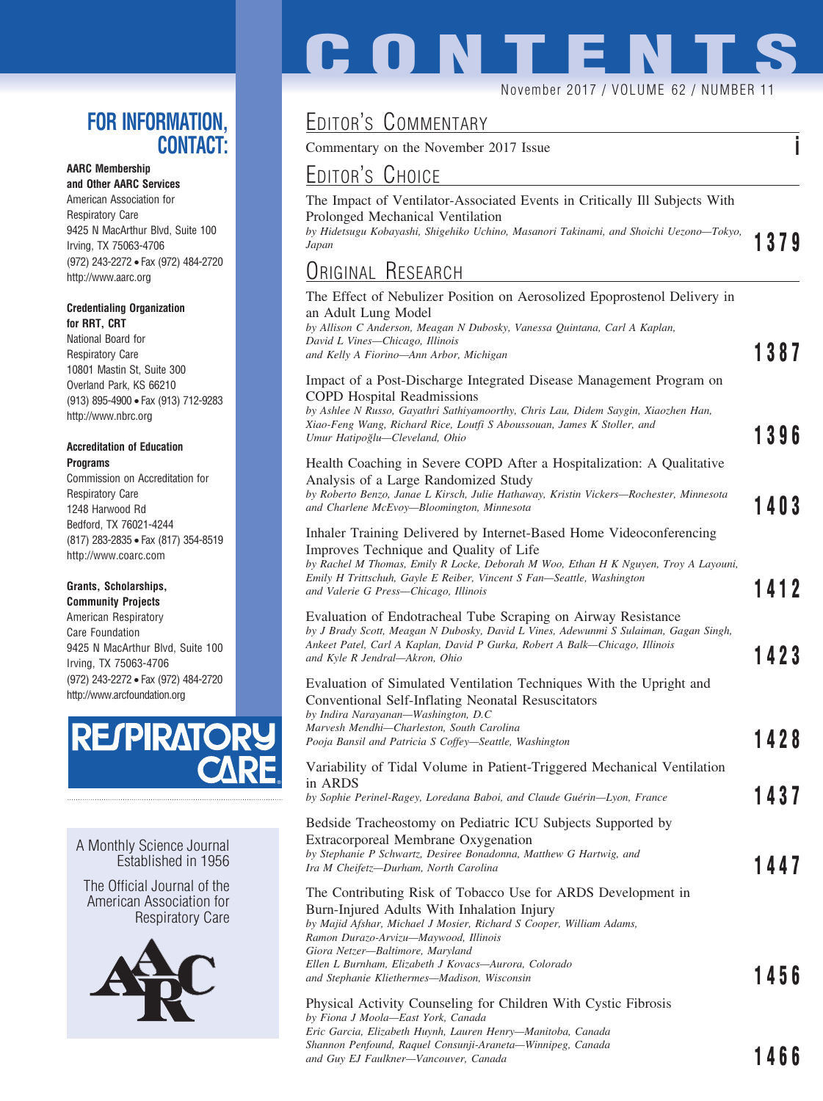### **FOR INFORMATION, CONTACT:**

### **AARC Membership**

**and Other AARC Services** American Association for Respiratory Care 9425 N MacArthur Blvd, Suite 100 Irving, TX 75063-4706 (972) 243-2272 • Fax (972) 484-2720 http://www.aarc.org

#### **Credentialing Organization for RRT, CRT**

National Board for Respiratory Care 10801 Mastin St, Suite 300 Overland Park, KS 66210 (913) 895-4900 • Fax (913) 712-9283 http://www.nbrc.org

#### **Accreditation of Education Programs**

Commission on Accreditation for Respiratory Care 1248 Harwood Rd Bedford, TX 76021-4244 (817) 283-2835 • Fax (817) 354-8519 http://www.coarc.com

#### **Grants, Scholarships,**

**Community Projects** American Respiratory Care Foundation 9425 N MacArthur Blvd, Suite 100 Irving, TX 75063-4706 (972) 243-2272 • Fax (972) 484-2720 http://www.arcfoundation.org



A Monthly Science Journal Established in 1956

The Official Journal of the American Association for Respiratory Care



# **CONTENTS** November 2017 / VOLUME 62 / NUMBER 11

## EDITOR'S COMMENTARY

Commentary on the November 2017 Issue **i**

| EDITOR'S CHOICE                                                                                                                                                                                                                                                                                                        |             |
|------------------------------------------------------------------------------------------------------------------------------------------------------------------------------------------------------------------------------------------------------------------------------------------------------------------------|-------------|
| The Impact of Ventilator-Associated Events in Critically Ill Subjects With<br>Prolonged Mechanical Ventilation<br>by Hidetsugu Kobayashi, Shigehiko Uchino, Masanori Takinami, and Shoichi Uezono-Tokyo,<br>Japan                                                                                                      | <b>1379</b> |
| ORIGINAL RESEARCH                                                                                                                                                                                                                                                                                                      |             |
| The Effect of Nebulizer Position on Aerosolized Epoprostenol Delivery in<br>an Adult Lung Model<br>by Allison C Anderson, Meagan N Dubosky, Vanessa Quintana, Carl A Kaplan,<br>David L Vines—Chicago, Illinois<br>and Kelly A Fiorino—Ann Arbor, Michigan                                                             | 1387        |
| Impact of a Post-Discharge Integrated Disease Management Program on<br><b>COPD</b> Hospital Readmissions<br>by Ashlee N Russo, Gayathri Sathiyamoorthy, Chris Lau, Didem Saygin, Xiaozhen Han,<br>Xiao-Feng Wang, Richard Rice, Loutfi S Aboussouan, James K Stoller, and<br>Umur Hatipoğlu-Cleveland, Ohio            | 1396        |
| Health Coaching in Severe COPD After a Hospitalization: A Qualitative<br>Analysis of a Large Randomized Study<br>by Roberto Benzo, Janae L Kirsch, Julie Hathaway, Kristin Vickers-Rochester, Minnesota<br>and Charlene McEvoy-Bloomington, Minnesota                                                                  | 1403        |
| Inhaler Training Delivered by Internet-Based Home Videoconferencing<br>Improves Technique and Quality of Life<br>by Rachel M Thomas, Emily R Locke, Deborah M Woo, Ethan H K Nguyen, Troy A Layouni,<br>Emily H Trittschuh, Gayle E Reiber, Vincent S Fan—Seattle, Washington<br>and Valerie G Press-Chicago, Illinois | 1412        |
| Evaluation of Endotracheal Tube Scraping on Airway Resistance<br>by J Brady Scott, Meagan N Dubosky, David L Vines, Adewunmi S Sulaiman, Gagan Singh,<br>Ankeet Patel, Carl A Kaplan, David P Gurka, Robert A Balk—Chicago, Illinois<br>and Kyle R Jendral—Akron, Ohio                                                 | 1423        |
| Evaluation of Simulated Ventilation Techniques With the Upright and<br>Conventional Self-Inflating Neonatal Resuscitators<br>by Indira Narayanan—Washington, D.C<br>Marvesh Mendhi-Charleston, South Carolina<br>Pooja Bansil and Patricia S Coffey-Seattle, Washington                                                | 1428        |
| Variability of Tidal Volume in Patient-Triggered Mechanical Ventilation<br>in ARDS<br>by Sophie Perinel-Ragey, Loredana Baboi, and Claude Guérin—Lyon, France                                                                                                                                                          | 1437        |
| Bedside Tracheostomy on Pediatric ICU Subjects Supported by<br>Extracorporeal Membrane Oxygenation<br>by Stephanie P Schwartz, Desiree Bonadonna, Matthew G Hartwig, and<br>Ira M Cheifetz—Durham, North Carolina                                                                                                      | 1447        |
| The Contributing Risk of Tobacco Use for ARDS Development in<br>Burn-Injured Adults With Inhalation Injury<br>by Majid Afshar, Michael J Mosier, Richard S Cooper, William Adams,<br>Ramon Durazo-Arvizu-Maywood, Illinois<br>Giora Netzer—Baltimore, Maryland                                                         |             |

*and Stephanie Kliethermes—Madison, Wisconsin* **1456** Physical Activity Counseling for Children With Cystic Fibrosis *by Fiona J Moola—East York, Canada Eric Garcia, Elizabeth Huynh, Lauren Henry—Manitoba, Canada Shannon Penfound, Raquel Consunji-Araneta—Winnipeg, Canada and Guy EJ Faulkner—Vancouver, Canada* **1466**

*Ellen L Burnham, Elizabeth J Kovacs—Aurora, Colorado*